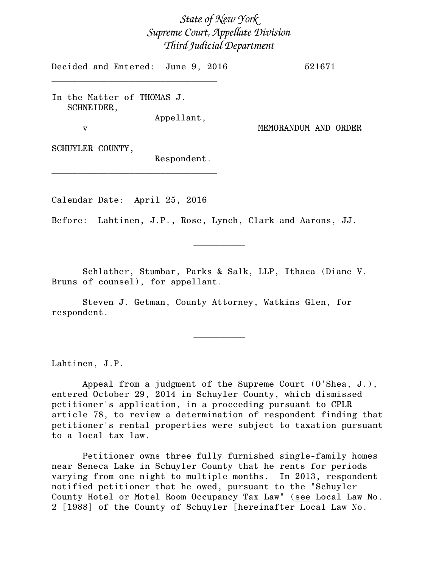## *State of New York Supreme Court, Appellate Division Third Judicial Department*

Decided and Entered: June 9, 2016 521671

In the Matter of THOMAS J. SCHNEIDER,

\_\_\_\_\_\_\_\_\_\_\_\_\_\_\_\_\_\_\_\_\_\_\_\_\_\_\_\_\_\_\_\_

Appellant,

v MEMORANDUM AND ORDER

SCHUYLER COUNTY,

Respondent.

Calendar Date: April 25, 2016

\_\_\_\_\_\_\_\_\_\_\_\_\_\_\_\_\_\_\_\_\_\_\_\_\_\_\_\_\_\_\_\_

Before: Lahtinen, J.P., Rose, Lynch, Clark and Aarons, JJ.

Schlather, Stumbar, Parks & Salk, LLP, Ithaca (Diane V. Bruns of counsel), for appellant.

 $\frac{1}{2}$ 

Steven J. Getman, County Attorney, Watkins Glen, for respondent.

Lahtinen, J.P.

Appeal from a judgment of the Supreme Court (O'Shea, J.), entered October 29, 2014 in Schuyler County, which dismissed petitioner's application, in a proceeding pursuant to CPLR article 78, to review a determination of respondent finding that petitioner's rental properties were subject to taxation pursuant to a local tax law.

 $\overline{\phantom{a}}$   $\overline{\phantom{a}}$   $\overline{\phantom{a}}$   $\overline{\phantom{a}}$   $\overline{\phantom{a}}$   $\overline{\phantom{a}}$   $\overline{\phantom{a}}$   $\overline{\phantom{a}}$   $\overline{\phantom{a}}$   $\overline{\phantom{a}}$   $\overline{\phantom{a}}$   $\overline{\phantom{a}}$   $\overline{\phantom{a}}$   $\overline{\phantom{a}}$   $\overline{\phantom{a}}$   $\overline{\phantom{a}}$   $\overline{\phantom{a}}$   $\overline{\phantom{a}}$   $\overline{\$ 

Petitioner owns three fully furnished single-family homes near Seneca Lake in Schuyler County that he rents for periods varying from one night to multiple months. In 2013, respondent notified petitioner that he owed, pursuant to the "Schuyler County Hotel or Motel Room Occupancy Tax Law" (see Local Law No. 2 [1988] of the County of Schuyler [hereinafter Local Law No.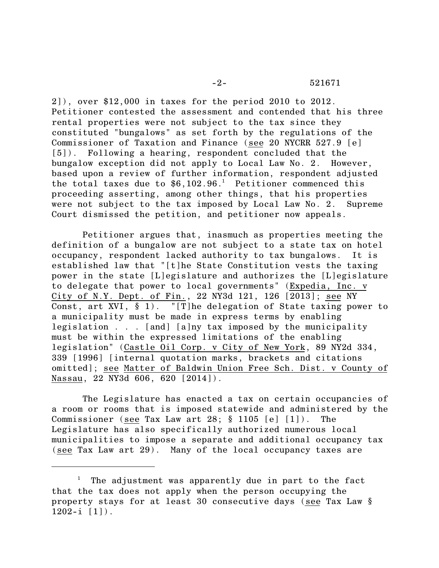2]), over \$12,000 in taxes for the period 2010 to 2012. Petitioner contested the assessment and contended that his three rental properties were not subject to the tax since they constituted "bungalows" as set forth by the regulations of the Commissioner of Taxation and Finance (see 20 NYCRR 527.9 [e] [5]). Following a hearing, respondent concluded that the bungalow exception did not apply to Local Law No. 2. However, based upon a review of further information, respondent adjusted the total taxes due to  $$6,102.96$ <sup>1</sup> Petitioner commenced this proceeding asserting, among other things, that his properties were not subject to the tax imposed by Local Law No. 2. Supreme Court dismissed the petition, and petitioner now appeals.

Petitioner argues that, inasmuch as properties meeting the definition of a bungalow are not subject to a state tax on hotel occupancy, respondent lacked authority to tax bungalows. It is established law that "[t]he State Constitution vests the taxing power in the state [L]egislature and authorizes the [L]egislature to delegate that power to local governments" (Expedia, Inc. v City of N.Y. Dept. of Fin., 22 NY3d 121, 126 [2013]; see NY Const, art XVI,  $\S$  1). "[T]he delegation of State taxing power to a municipality must be made in express terms by enabling legislation . . . [and] [a]ny tax imposed by the municipality must be within the expressed limitations of the enabling legislation" (Castle Oil Corp. v City of New York, 89 NY2d 334, 339 [1996] [internal quotation marks, brackets and citations omitted]; see Matter of Baldwin Union Free Sch. Dist. v County of Nassau, 22 NY3d 606, 620 [2014]).

The Legislature has enacted a tax on certain occupancies of a room or rooms that is imposed statewide and administered by the Commissioner (see Tax Law art  $28$ ;  $\S$  1105 [e] [1]). The Legislature has also specifically authorized numerous local municipalities to impose a separate and additional occupancy tax (see Tax Law art 29). Many of the local occupancy taxes are

<sup>&</sup>lt;sup>1</sup> The adjustment was apparently due in part to the fact that the tax does not apply when the person occupying the property stays for at least 30 consecutive days (see Tax Law §  $1202-i$  [1]).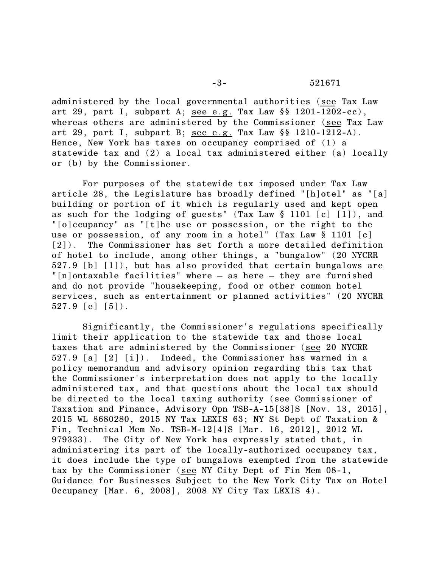administered by the local governmental authorities (see Tax Law art 29, part I, subpart A; see e.g. Tax Law §§ 1201-1202-cc), whereas others are administered by the Commissioner (see Tax Law art 29, part I, subpart B; see e.g. Tax Law §§ 1210-1212-A). Hence, New York has taxes on occupancy comprised of (1) a statewide tax and (2) a local tax administered either (a) locally or (b) by the Commissioner.

For purposes of the statewide tax imposed under Tax Law article 28, the Legislature has broadly defined "[h]otel" as "[a] building or portion of it which is regularly used and kept open as such for the lodging of guests" (Tax Law § 1101 [c] [1]), and "[o]ccupancy" as "[t]he use or possession, or the right to the use or possession, of any room in a hotel" (Tax Law § 1101 [c] [2]). The Commissioner has set forth a more detailed definition of hotel to include, among other things, a "bungalow" (20 NYCRR 527.9 [b] [1]), but has also provided that certain bungalows are "[n]ontaxable facilities" where – as here – they are furnished and do not provide "housekeeping, food or other common hotel services, such as entertainment or planned activities" (20 NYCRR 527.9 [e] [5]).

Significantly, the Commissioner's regulations specifically limit their application to the statewide tax and those local taxes that are administered by the Commissioner (see 20 NYCRR 527.9 [a] [2] [i]). Indeed, the Commissioner has warned in a policy memorandum and advisory opinion regarding this tax that the Commissioner's interpretation does not apply to the locally administered tax, and that questions about the local tax should be directed to the local taxing authority (see Commissioner of Taxation and Finance, Advisory Opn TSB-A-15[38]S [Nov. 13, 2015], 2015 WL 8680280, 2015 NY Tax LEXIS 63; NY St Dept of Taxation & Fin, Technical Mem No. TSB-M-12[4]S [Mar. 16, 2012], 2012 WL 979333). The City of New York has expressly stated that, in administering its part of the locally-authorized occupancy tax, it does include the type of bungalows exempted from the statewide tax by the Commissioner (see NY City Dept of Fin Mem 08-1, Guidance for Businesses Subject to the New York City Tax on Hotel Occupancy [Mar. 6, 2008], 2008 NY City Tax LEXIS 4).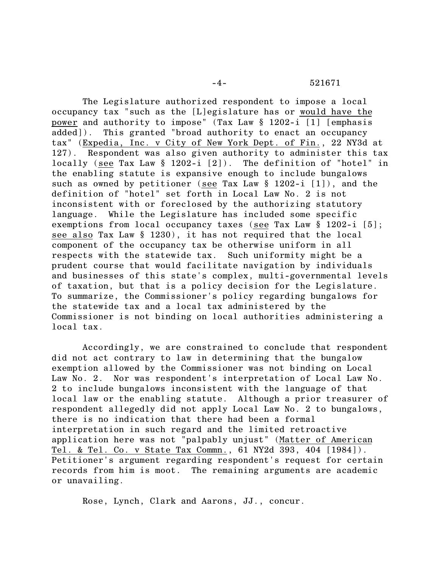-4- 521671

The Legislature authorized respondent to impose a local occupancy tax "such as the [L]egislature has or would have the power and authority to impose" (Tax Law § 1202-i [1] [emphasis added]). This granted "broad authority to enact an occupancy tax" (Expedia, Inc. v City of New York Dept. of Fin., 22 NY3d at 127). Respondent was also given authority to administer this tax locally (see Tax Law § 1202-i [2]). The definition of "hotel" in the enabling statute is expansive enough to include bungalows such as owned by petitioner (see Tax Law § 1202-i [1]), and the definition of "hotel" set forth in Local Law No. 2 is not inconsistent with or foreclosed by the authorizing statutory language. While the Legislature has included some specific exemptions from local occupancy taxes (see Tax Law § 1202-i [5]; see also Tax Law § 1230), it has not required that the local component of the occupancy tax be otherwise uniform in all respects with the statewide tax. Such uniformity might be a prudent course that would facilitate navigation by individuals and businesses of this state's complex, multi-governmental levels of taxation, but that is a policy decision for the Legislature. To summarize, the Commissioner's policy regarding bungalows for the statewide tax and a local tax administered by the Commissioner is not binding on local authorities administering a local tax.

Accordingly, we are constrained to conclude that respondent did not act contrary to law in determining that the bungalow exemption allowed by the Commissioner was not binding on Local Law No. 2. Nor was respondent's interpretation of Local Law No. 2 to include bungalows inconsistent with the language of that local law or the enabling statute. Although a prior treasurer of respondent allegedly did not apply Local Law No. 2 to bungalows, there is no indication that there had been a formal interpretation in such regard and the limited retroactive application here was not "palpably unjust" (Matter of American Tel. & Tel. Co. v State Tax Commn., 61 NY2d 393, 404 [1984]). Petitioner's argument regarding respondent's request for certain records from him is moot. The remaining arguments are academic or unavailing.

Rose, Lynch, Clark and Aarons, JJ., concur.